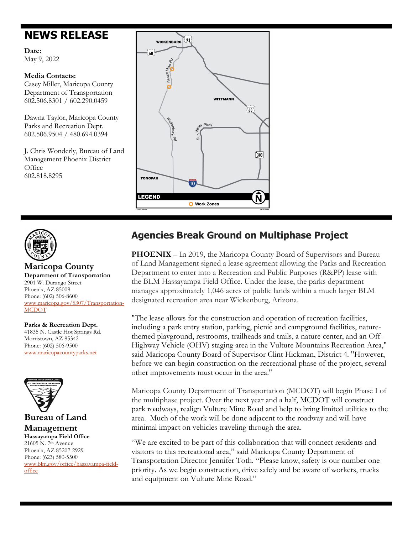## **NEWS RELEASE**

### **Date:** May 9, 2022

**Media Contacts:** Casey Miller, Maricopa County Department of Transportation 602.506.8301 / 602.290.0459

Dawna Taylor, Maricopa County Parks and Recreation Dept. 602.506.9504 / 480.694.0394

J. Chris Wonderly, Bureau of Land Management Phoenix District **Office** 602.818.8295





## **Maricopa County**

**Department of Transportation** 2901 W. Durango Street Phoenix, AZ 85009 Phone: (602) 506-8600 [www.maricopa.gov/5307/Transportation-](http://www.maricopa.gov/5307/Transportation-MCDOT)[MCDOT](http://www.maricopa.gov/5307/Transportation-MCDOT)

### **Parks & Recreation Dept.**

41835 N. Castle Hot Springs Rd. Morristown, AZ 85342 Phone: (602) 506-9500 [www.maricopacountyparks.net](http://www.maricopacountyparks.net/)



# **Bureau of Land**

**Management Hassayampa Field Office** 21605 N. 7th Avenue Phoenix, AZ 85207-2929 Phone: (623) 580-5500 [www.blm.gov/office/hassayampa-field](http://www.blm.gov/office/hassayampa-field-office)[office](http://www.blm.gov/office/hassayampa-field-office)

## **Agencies Break Ground on Multiphase Project**

**PHOENIX** – In 2019, the Maricopa County Board of Supervisors and Bureau of Land Management signed a lease agreement allowing the Parks and Recreation Department to enter into a Recreation and Public Purposes (R&PP) lease with the BLM Hassayampa Field Office. Under the lease, the parks department manages approximately 1,046 acres of public lands within a much larger BLM designated recreation area near Wickenburg, Arizona.

"The lease allows for the construction and operation of recreation facilities, including a park entry station, parking, picnic and campground facilities, naturethemed playground, restrooms, trailheads and trails, a nature center, and an Off-Highway Vehicle (OHV) staging area in the Vulture Mountains Recreation Area," said Maricopa County Board of Supervisor Clint Hickman, District 4. "However, before we can begin construction on the recreational phase of the project, several other improvements must occur in the area."

Maricopa County Department of Transportation (MCDOT) will begin Phase I of the multiphase project. Over the next year and a half, MCDOT will construct park roadways, realign Vulture Mine Road and help to bring limited utilities to the area. Much of the work will be done adjacent to the roadway and will have minimal impact on vehicles traveling through the area.

"We are excited to be part of this collaboration that will connect residents and visitors to this recreational area," said Maricopa County Department of Transportation Director Jennifer Toth. "Please know, safety is our number one priority. As we begin construction, drive safely and be aware of workers, trucks and equipment on Vulture Mine Road."